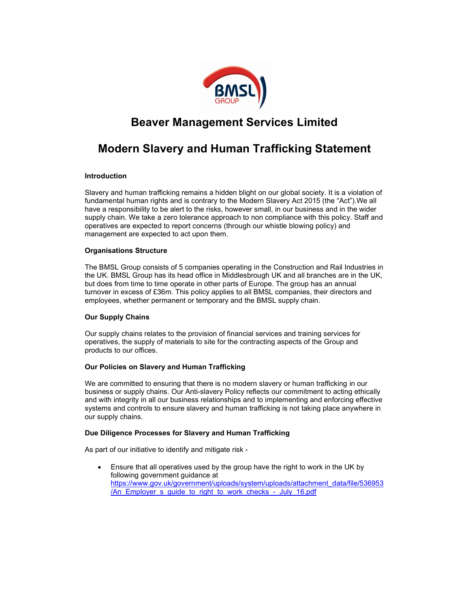

## Beaver Management Services Limited

# Modern Slavery and Human Trafficking Statement

## Introduction

Slavery and human trafficking remains a hidden blight on our global society. It is a violation of fundamental human rights and is contrary to the Modern Slavery Act 2015 (the "Act").We all have a responsibility to be alert to the risks, however small, in our business and in the wider supply chain. We take a zero tolerance approach to non compliance with this policy. Staff and operatives are expected to report concerns (through our whistle blowing policy) and management are expected to act upon them.

## Organisations Structure

The BMSL Group consists of 5 companies operating in the Construction and Rail Industries in the UK. BMSL Group has its head office in Middlesbrough UK and all branches are in the UK, but does from time to time operate in other parts of Europe. The group has an annual turnover in excess of £36m. This policy applies to all BMSL companies, their directors and employees, whether permanent or temporary and the BMSL supply chain.

## Our Supply Chains

Our supply chains relates to the provision of financial services and training services for operatives, the supply of materials to site for the contracting aspects of the Group and products to our offices.

## Our Policies on Slavery and Human Trafficking

We are committed to ensuring that there is no modern slavery or human trafficking in our business or supply chains. Our Anti-slavery Policy reflects our commitment to acting ethically and with integrity in all our business relationships and to implementing and enforcing effective systems and controls to ensure slavery and human trafficking is not taking place anywhere in our supply chains.

## Due Diligence Processes for Slavery and Human Trafficking

As part of our initiative to identify and mitigate risk -

 Ensure that all operatives used by the group have the right to work in the UK by following government guidance at https://www.gov.uk/government/uploads/system/uploads/attachment\_data/file/536953 /An\_Employer\_s\_guide\_to\_right\_to\_work\_checks\_-\_July\_16.pdf